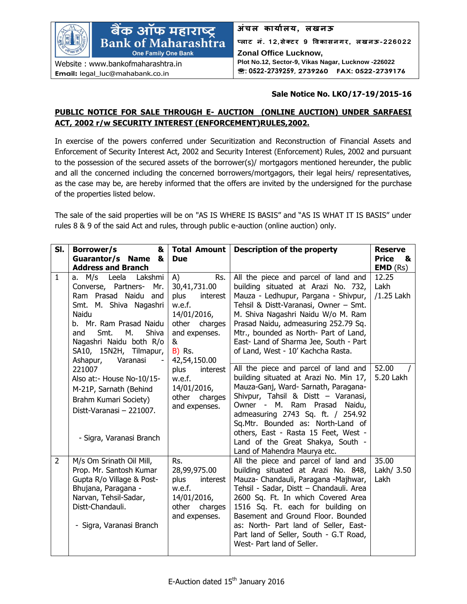

## **Sale Notice No. LKO/17-19/2015-16**

## **PUBLIC NOTICE FOR SALE THROUGH E- AUCTION (ONLINE AUCTION) UNDER SARFAESI ACT, 2002 r/w SECURITY INTEREST (ENFORCEMENT)RULES,2002.**

In exercise of the powers conferred under Securitization and Reconstruction of Financial Assets and Enforcement of Security Interest Act, 2002 and Security Interest (Enforcement) Rules, 2002 and pursuant to the possession of the secured assets of the borrower(s)/ mortgagors mentioned hereunder, the public and all the concerned including the concerned borrowers/mortgagors, their legal heirs/ representatives, as the case may be, are hereby informed that the offers are invited by the undersigned for the purchase of the properties listed below.

The sale of the said properties will be on "AS IS WHERE IS BASIS" and "AS IS WHAT IT IS BASIS" under rules 8 & 9 of the said Act and rules, through public e-auction (online auction) only.

| SI.            | Borrower/s<br>&<br>Guarantor/s Name &<br><b>Address and Branch</b>                                                                                                                                                                                        | <b>Total Amount</b><br><b>Due</b>                                                                                                              | <b>Description of the property</b>                                                                                                                                                                                                                                                                                                                                                               | <b>Reserve</b><br><b>Price</b><br>&<br>EMD (Rs) |
|----------------|-----------------------------------------------------------------------------------------------------------------------------------------------------------------------------------------------------------------------------------------------------------|------------------------------------------------------------------------------------------------------------------------------------------------|--------------------------------------------------------------------------------------------------------------------------------------------------------------------------------------------------------------------------------------------------------------------------------------------------------------------------------------------------------------------------------------------------|-------------------------------------------------|
| $\mathbf{1}$   | a. M/s Leela<br>Lakshmi<br>Converse, Partners-<br>Mr.<br>Ram Prasad Naidu<br>and<br>Smt. M. Shiva Nagashri<br>Naidu<br>b. Mr. Ram Prasad Naidu<br>М.<br>Smt.<br>Shiva<br>and<br>Nagashri Naidu both R/o<br>SA10, 15N2H, Tilmapur,<br>Ashapur,<br>Varanasi | A)<br>Rs.<br>30,41,731.00<br>plus<br>interest<br>w.e.f.<br>14/01/2016,<br>other charges<br>and expenses.<br>&<br><b>B)</b> Rs.<br>42,54,150.00 | All the piece and parcel of land and<br>building situated at Arazi No. 732,<br>Mauza - Ledhupur, Pargana - Shivpur,<br>Tehsil & Distt-Varanasi, Owner - Smt.<br>M. Shiva Nagashri Naidu W/o M. Ram<br>Prasad Naidu, admeasuring 252.79 Sq.<br>Mtr., bounded as North- Part of Land,<br>East- Land of Sharma Jee, South - Part<br>of Land, West - 10' Kachcha Rasta.                              | 12.25<br>Lakh<br>/1.25 Lakh                     |
|                | 221007<br>Also at:- House No-10/15-<br>M-21P, Sarnath (Behind<br>Brahm Kumari Society)<br>Distt-Varanasi - 221007.<br>- Sigra, Varanasi Branch                                                                                                            | plus<br>interest<br>w.e.f.<br>14/01/2016,<br>other charges<br>and expenses.                                                                    | All the piece and parcel of land and<br>building situated at Arazi No. Min 17,<br>Mauza-Ganj, Ward- Sarnath, Paragana-<br>Shivpur, Tahsil & Distt - Varanasi,<br>Owner - M. Ram Prasad<br>Naidu,<br>admeasuring 2743 Sq. ft. / 254.92<br>Sq.Mtr. Bounded as: North-Land of<br>others, East - Rasta 15 Feet, West -<br>Land of the Great Shakya, South -<br>Land of Mahendra Maurya etc.          | 52.00<br>5.20 Lakh                              |
| $\overline{2}$ | M/s Om Srinath Oil Mill,<br>Prop. Mr. Santosh Kumar<br>Gupta R/o Village & Post-<br>Bhujana, Paragana -<br>Narvan, Tehsil-Sadar,<br>Distt-Chandauli.<br>- Sigra, Varanasi Branch                                                                          | Rs.<br>28,99,975.00<br>plus<br>interest<br>w.e.f.<br>14/01/2016,<br>other charges<br>and expenses.                                             | All the piece and parcel of land and<br>building situated at Arazi No. 848,<br>Mauza- Chandauli, Paragana -Majhwar,<br>Tehsil - Sadar, Distt - Chandauli. Area<br>2600 Sq. Ft. In which Covered Area<br>1516 Sq. Ft. each for building on<br>Basement and Ground Floor. Bounded<br>as: North- Part land of Seller, East-<br>Part land of Seller, South - G.T Road,<br>West- Part land of Seller. | 35.00<br>Lakh/ 3.50<br>Lakh                     |